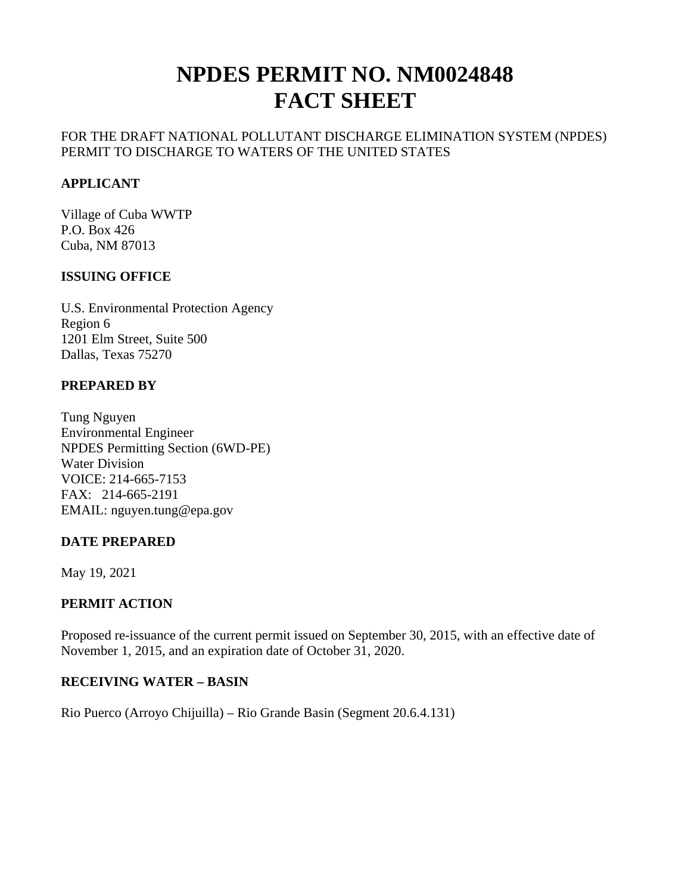# **NPDES PERMIT NO. NM0024848 FACT SHEET**

## FOR THE DRAFT NATIONAL POLLUTANT DISCHARGE ELIMINATION SYSTEM (NPDES) PERMIT TO DISCHARGE TO WATERS OF THE UNITED STATES

## **APPLICANT**

Village of Cuba WWTP P.O. Box 426 Cuba, NM 87013

## **ISSUING OFFICE**

U.S. Environmental Protection Agency Region 6 1201 Elm Street, Suite 500 Dallas, Texas 75270

## **PREPARED BY**

Tung Nguyen Environmental Engineer NPDES Permitting Section (6WD-PE) Water Division VOICE: 214-665-7153 FAX: 214-665-2191 EMAIL: nguyen.tung@epa.gov

#### **DATE PREPARED**

May 19, 2021

## **PERMIT ACTION**

Proposed re-issuance of the current permit issued on September 30, 2015, with an effective date of November 1, 2015, and an expiration date of October 31, 2020.

#### **RECEIVING WATER – BASIN**

Rio Puerco (Arroyo Chijuilla) – Rio Grande Basin (Segment 20.6.4.131)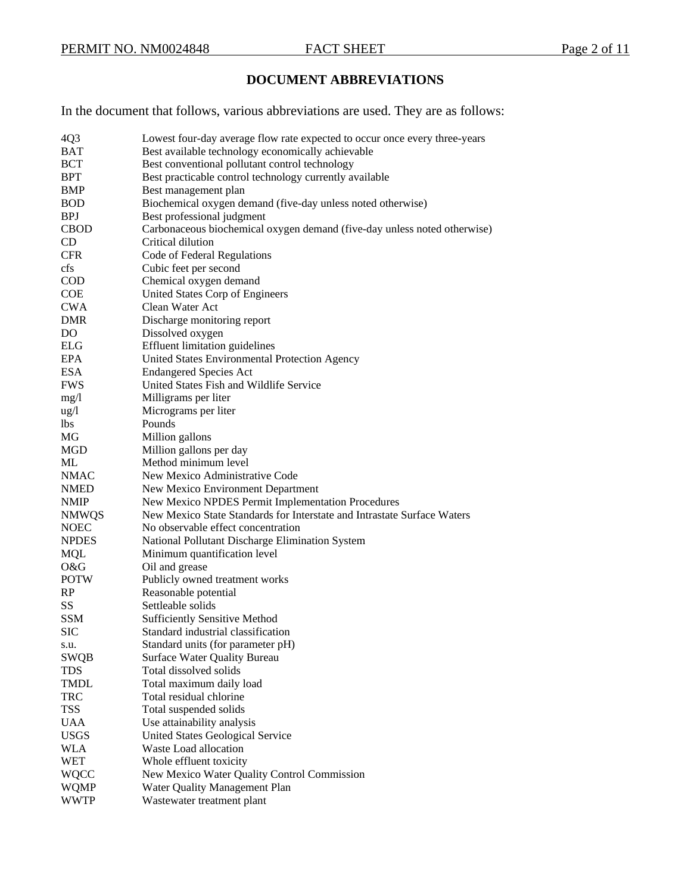## **DOCUMENT ABBREVIATIONS**

In the document that follows, various abbreviations are used. They are as follows:

| 4Q <sub>3</sub> | Lowest four-day average flow rate expected to occur once every three-years |
|-----------------|----------------------------------------------------------------------------|
| <b>BAT</b>      | Best available technology economically achievable                          |
| <b>BCT</b>      | Best conventional pollutant control technology                             |
| <b>BPT</b>      | Best practicable control technology currently available                    |
| BMP             | Best management plan                                                       |
| <b>BOD</b>      |                                                                            |
|                 | Biochemical oxygen demand (five-day unless noted otherwise)                |
| <b>BPJ</b>      | Best professional judgment                                                 |
| <b>CBOD</b>     | Carbonaceous biochemical oxygen demand (five-day unless noted otherwise)   |
| <b>CD</b>       | Critical dilution                                                          |
| <b>CFR</b>      | Code of Federal Regulations                                                |
| cfs             | Cubic feet per second                                                      |
| <b>COD</b>      | Chemical oxygen demand                                                     |
| <b>COE</b>      | United States Corp of Engineers                                            |
| <b>CWA</b>      | Clean Water Act                                                            |
| <b>DMR</b>      | Discharge monitoring report                                                |
| DO              | Dissolved oxygen                                                           |
| ELG             | <b>Effluent limitation guidelines</b>                                      |
| EPA             | United States Environmental Protection Agency                              |
| <b>ESA</b>      | <b>Endangered Species Act</b>                                              |
| <b>FWS</b>      | United States Fish and Wildlife Service                                    |
| mg/1            | Milligrams per liter                                                       |
| $\frac{u g}{l}$ | Micrograms per liter                                                       |
| lbs.            | Pounds                                                                     |
| MG              | Million gallons                                                            |
| MGD             | Million gallons per day                                                    |
| ML              | Method minimum level                                                       |
| <b>NMAC</b>     | New Mexico Administrative Code                                             |
| <b>NMED</b>     | New Mexico Environment Department                                          |
| <b>NMIP</b>     | New Mexico NPDES Permit Implementation Procedures                          |
| <b>NMWQS</b>    | New Mexico State Standards for Interstate and Intrastate Surface Waters    |
| <b>NOEC</b>     | No observable effect concentration                                         |
| <b>NPDES</b>    | National Pollutant Discharge Elimination System                            |
| <b>MQL</b>      | Minimum quantification level                                               |
| O&G             | Oil and grease                                                             |
| <b>POTW</b>     | Publicly owned treatment works                                             |
| RP              | Reasonable potential                                                       |
| SS              | Settleable solids                                                          |
| <b>SSM</b>      | <b>Sufficiently Sensitive Method</b>                                       |
| <b>SIC</b>      | Standard industrial classification                                         |
| s.u.            | Standard units (for parameter pH)                                          |
| <b>SWQB</b>     | <b>Surface Water Quality Bureau</b>                                        |
| <b>TDS</b>      | Total dissolved solids                                                     |
| <b>TMDL</b>     | Total maximum daily load                                                   |
| <b>TRC</b>      | Total residual chlorine                                                    |
| <b>TSS</b>      | Total suspended solids                                                     |
| <b>UAA</b>      | Use attainability analysis                                                 |
| <b>USGS</b>     | United States Geological Service                                           |
| <b>WLA</b>      | Waste Load allocation                                                      |
| <b>WET</b>      | Whole effluent toxicity                                                    |
| WQCC            | New Mexico Water Quality Control Commission                                |
|                 | Water Quality Management Plan                                              |
| WQMP            |                                                                            |
| WWTP            | Wastewater treatment plant                                                 |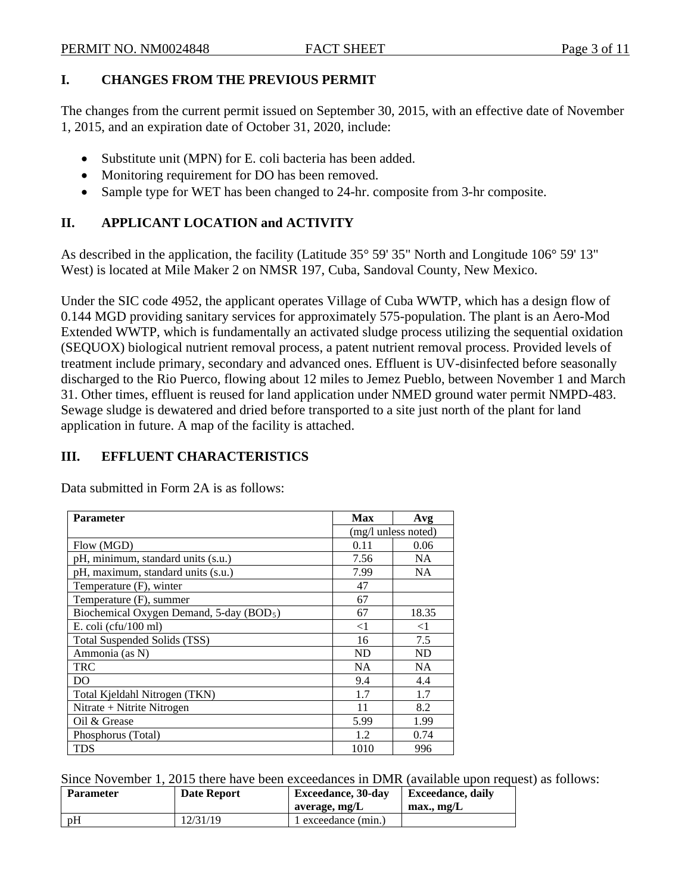## **I. CHANGES FROM THE PREVIOUS PERMIT**

The changes from the current permit issued on September 30, 2015, with an effective date of November 1, 2015, and an expiration date of October 31, 2020, include:

- Substitute unit (MPN) for E. coli bacteria has been added.
- Monitoring requirement for DO has been removed.
- Sample type for WET has been changed to 24-hr. composite from 3-hr composite.

# **II. APPLICANT LOCATION and ACTIVITY**

As described in the application, the facility (Latitude 35° 59' 35" North and Longitude 106° 59' 13" West) is located at Mile Maker 2 on NMSR 197, Cuba, Sandoval County, New Mexico.

Under the SIC code 4952, the applicant operates Village of Cuba WWTP, which has a design flow of 0.144 MGD providing sanitary services for approximately 575-population. The plant is an Aero-Mod Extended WWTP, which is fundamentally an activated sludge process utilizing the sequential oxidation (SEQUOX) biological nutrient removal process, a patent nutrient removal process. Provided levels of treatment include primary, secondary and advanced ones. Effluent is UV-disinfected before seasonally discharged to the Rio Puerco, flowing about 12 miles to Jemez Pueblo, between November 1 and March 31. Other times, effluent is reused for land application under NMED ground water permit NMPD-483. Sewage sludge is dewatered and dried before transported to a site just north of the plant for land application in future. A map of the facility is attached.

# **III. EFFLUENT CHARACTERISTICS**

Data submitted in Form 2A is as follows:

| <b>Parameter</b>                                     | Max                 | Avg       |
|------------------------------------------------------|---------------------|-----------|
|                                                      | (mg/l unless noted) |           |
| Flow (MGD)                                           | 0.11                | 0.06      |
| pH, minimum, standard units (s.u.)                   | 7.56                | <b>NA</b> |
| pH, maximum, standard units (s.u.)                   | 7.99                | <b>NA</b> |
| Temperature (F), winter                              | 47                  |           |
| Temperature (F), summer                              | 67                  |           |
| Biochemical Oxygen Demand, 5-day (BOD <sub>5</sub> ) | 67                  | 18.35     |
| E. coli (cfu/100 ml)                                 | $<$ 1               | ${<}1$    |
| Total Suspended Solids (TSS)                         | 16                  | 7.5       |
| Ammonia (as N)                                       | <b>ND</b>           | ND        |
| <b>TRC</b>                                           | <b>NA</b>           | <b>NA</b> |
| DO                                                   | 9.4                 | 4.4       |
| Total Kjeldahl Nitrogen (TKN)                        | 1.7                 | 1.7       |
| Nitrate + Nitrite Nitrogen                           | 11                  | 8.2       |
| Oil & Grease                                         | 5.99                | 1.99      |
| Phosphorus (Total)                                   | 1.2                 | 0.74      |
| TDS                                                  | 1010                | 996       |

Since November 1, 2015 there have been exceedances in DMR (available upon request) as follows:

| <b>Parameter</b> | <b>Date Report</b> | <b>Exceedance</b> , 30-day<br>average, mg/L | Exceedance, daily<br>$max$ , mg/L |
|------------------|--------------------|---------------------------------------------|-----------------------------------|
| D <sub>H</sub>   | 12/31/19           | l exceedance (min.)                         |                                   |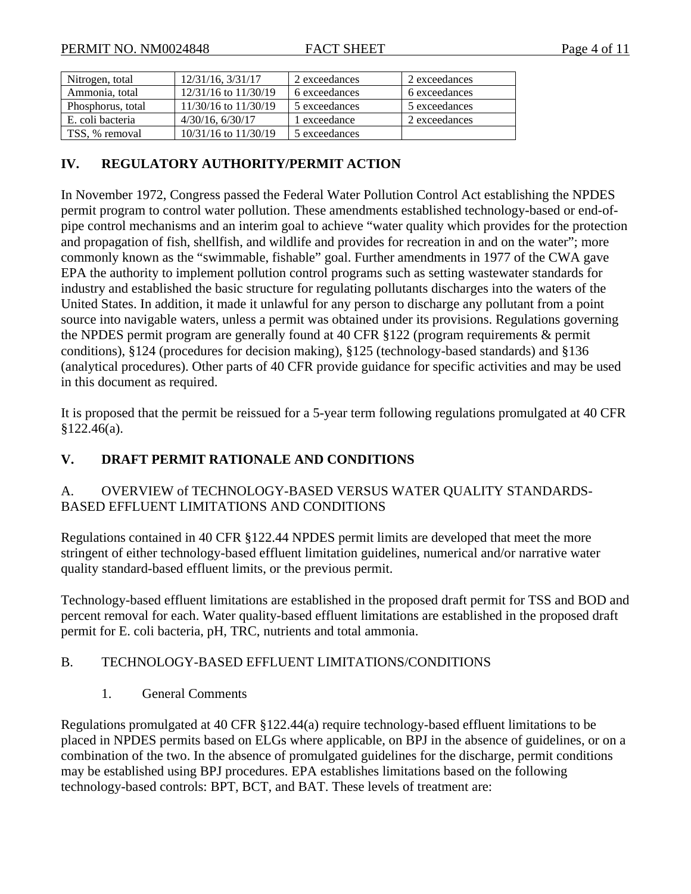| Nitrogen, total   | 12/31/16, 3/31/17        | 2 exceedances | 2 exceedances |
|-------------------|--------------------------|---------------|---------------|
| Ammonia, total    | $12/31/16$ to $11/30/19$ | 6 exceedances | 6 exceedances |
| Phosphorus, total | 11/30/16 to 11/30/19     | 5 exceedances | 5 exceedances |
| E. coli bacteria  | $4/30/16$ , $6/30/17$    | 1 exceedance  | 2 exceedances |
| TSS, % removal    | $10/31/16$ to $11/30/19$ | 5 exceedances |               |

## **IV. REGULATORY AUTHORITY/PERMIT ACTION**

In November 1972, Congress passed the Federal Water Pollution Control Act establishing the NPDES permit program to control water pollution. These amendments established technology-based or end-ofpipe control mechanisms and an interim goal to achieve "water quality which provides for the protection and propagation of fish, shellfish, and wildlife and provides for recreation in and on the water"; more commonly known as the "swimmable, fishable" goal. Further amendments in 1977 of the CWA gave EPA the authority to implement pollution control programs such as setting wastewater standards for industry and established the basic structure for regulating pollutants discharges into the waters of the United States. In addition, it made it unlawful for any person to discharge any pollutant from a point source into navigable waters, unless a permit was obtained under its provisions. Regulations governing the NPDES permit program are generally found at 40 CFR §122 (program requirements & permit conditions), §124 (procedures for decision making), §125 (technology-based standards) and §136 (analytical procedures). Other parts of 40 CFR provide guidance for specific activities and may be used in this document as required.

It is proposed that the permit be reissued for a 5-year term following regulations promulgated at 40 CFR §122.46(a).

## **V. DRAFT PERMIT RATIONALE AND CONDITIONS**

## A. OVERVIEW of TECHNOLOGY-BASED VERSUS WATER QUALITY STANDARDS-BASED EFFLUENT LIMITATIONS AND CONDITIONS

Regulations contained in 40 CFR §122.44 NPDES permit limits are developed that meet the more stringent of either technology-based effluent limitation guidelines, numerical and/or narrative water quality standard-based effluent limits, or the previous permit.

Technology-based effluent limitations are established in the proposed draft permit for TSS and BOD and percent removal for each. Water quality-based effluent limitations are established in the proposed draft permit for E. coli bacteria, pH, TRC, nutrients and total ammonia.

## B. TECHNOLOGY-BASED EFFLUENT LIMITATIONS/CONDITIONS

1. General Comments

Regulations promulgated at 40 CFR §122.44(a) require technology-based effluent limitations to be placed in NPDES permits based on ELGs where applicable, on BPJ in the absence of guidelines, or on a combination of the two. In the absence of promulgated guidelines for the discharge, permit conditions may be established using BPJ procedures. EPA establishes limitations based on the following technology-based controls: BPT, BCT, and BAT. These levels of treatment are: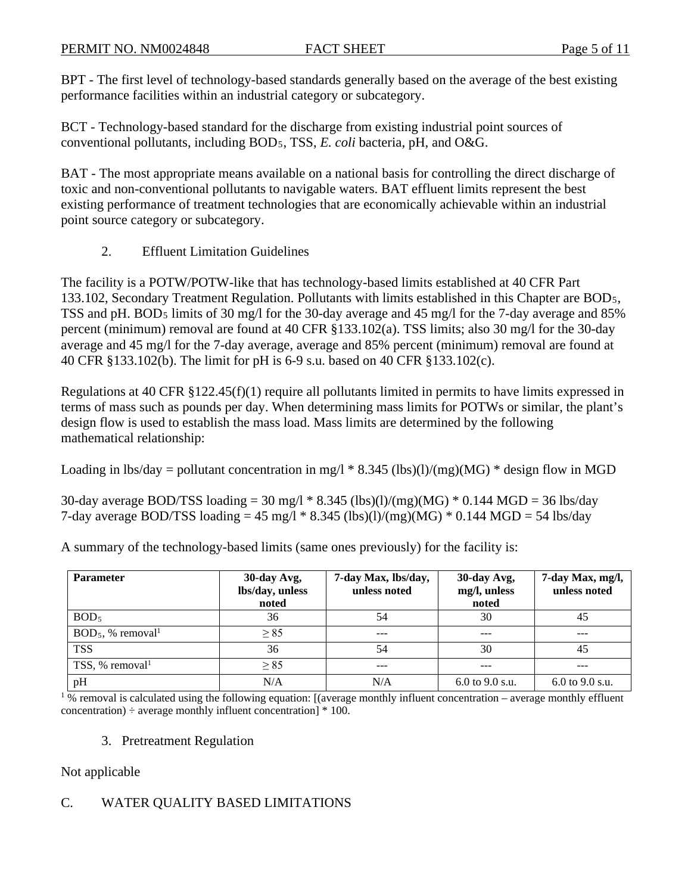BPT - The first level of technology-based standards generally based on the average of the best existing performance facilities within an industrial category or subcategory.

BCT - Technology-based standard for the discharge from existing industrial point sources of conventional pollutants, including BOD5, TSS, *E. coli* bacteria, pH, and O&G.

BAT - The most appropriate means available on a national basis for controlling the direct discharge of toxic and non-conventional pollutants to navigable waters. BAT effluent limits represent the best existing performance of treatment technologies that are economically achievable within an industrial point source category or subcategory.

2. Effluent Limitation Guidelines

The facility is a POTW/POTW-like that has technology-based limits established at 40 CFR Part 133.102, Secondary Treatment Regulation. Pollutants with limits established in this Chapter are BOD5, TSS and pH. BOD5 limits of 30 mg/l for the 30-day average and 45 mg/l for the 7-day average and 85% percent (minimum) removal are found at 40 CFR §133.102(a). TSS limits; also 30 mg/l for the 30-day average and 45 mg/l for the 7-day average, average and 85% percent (minimum) removal are found at 40 CFR §133.102(b). The limit for pH is 6-9 s.u. based on 40 CFR §133.102(c).

Regulations at 40 CFR §122.45(f)(1) require all pollutants limited in permits to have limits expressed in terms of mass such as pounds per day. When determining mass limits for POTWs or similar, the plant's design flow is used to establish the mass load. Mass limits are determined by the following mathematical relationship:

Loading in lbs/day = pollutant concentration in mg/l  $*$  8.345 (lbs)(l)/(mg)(MG)  $*$  design flow in MGD

30-day average BOD/TSS loading = 30 mg/l  $*$  8.345 (lbs)(l)/(mg)(MG)  $*$  0.144 MGD = 36 lbs/day 7-day average BOD/TSS loading = 45 mg/l  $*$  8.345 (lbs)(l)/(mg)(MG)  $*$  0.144 MGD = 54 lbs/day

| <b>Parameter</b>                 | 30-day Avg,<br>lbs/day, unless<br>noted | 7-day Max, lbs/day,<br>unless noted | 30-day Avg,<br>mg/l, unless<br>noted | 7-day Max, mg/l,<br>unless noted |
|----------------------------------|-----------------------------------------|-------------------------------------|--------------------------------------|----------------------------------|
| BOD <sub>5</sub>                 | 36                                      | 54                                  | 30                                   | 45                               |
| $BOD_5$ , % removal <sup>1</sup> | $\geq 85$                               |                                     |                                      |                                  |
| <b>TSS</b>                       | 36                                      | 54                                  | 30                                   | 45                               |
| TSS, % removal                   | $\geq$ 85                               | $- - -$                             |                                      |                                  |
| pH                               | N/A                                     | N/A                                 | $6.0$ to $9.0$ s.u.                  | $6.0$ to 9.0 s.u.                |

A summary of the technology-based limits (same ones previously) for the facility is:

 $1\%$  removal is calculated using the following equation: [(average monthly influent concentration – average monthly effluent concentration)  $\div$  average monthly influent concentration]  $*$  100.

## 3. Pretreatment Regulation

Not applicable

## C. WATER QUALITY BASED LIMITATIONS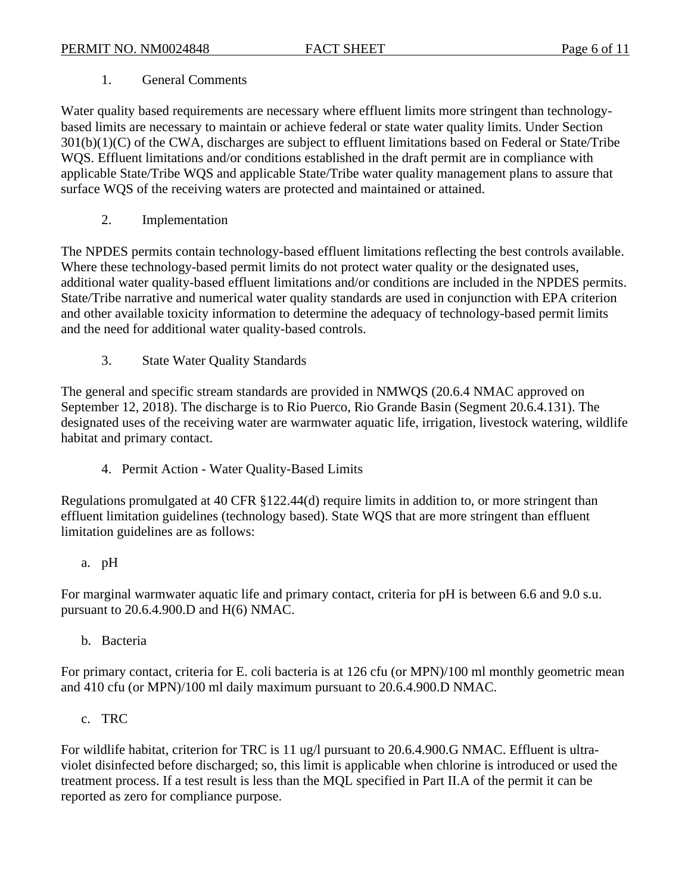#### 1. General Comments

Water quality based requirements are necessary where effluent limits more stringent than technologybased limits are necessary to maintain or achieve federal or state water quality limits. Under Section 301(b)(1)(C) of the CWA, discharges are subject to effluent limitations based on Federal or State/Tribe WQS. Effluent limitations and/or conditions established in the draft permit are in compliance with applicable State/Tribe WQS and applicable State/Tribe water quality management plans to assure that surface WQS of the receiving waters are protected and maintained or attained.

2. Implementation

The NPDES permits contain technology-based effluent limitations reflecting the best controls available. Where these technology-based permit limits do not protect water quality or the designated uses, additional water quality-based effluent limitations and/or conditions are included in the NPDES permits. State/Tribe narrative and numerical water quality standards are used in conjunction with EPA criterion and other available toxicity information to determine the adequacy of technology-based permit limits and the need for additional water quality-based controls.

3. State Water Quality Standards

The general and specific stream standards are provided in NMWQS (20.6.4 NMAC approved on September 12, 2018). The discharge is to Rio Puerco, Rio Grande Basin (Segment 20.6.4.131). The designated uses of the receiving water are warmwater aquatic life, irrigation, livestock watering, wildlife habitat and primary contact.

4. Permit Action - Water Quality-Based Limits

Regulations promulgated at 40 CFR §122.44(d) require limits in addition to, or more stringent than effluent limitation guidelines (technology based). State WQS that are more stringent than effluent limitation guidelines are as follows:

a. pH

For marginal warmwater aquatic life and primary contact, criteria for pH is between 6.6 and 9.0 s.u. pursuant to 20.6.4.900.D and H(6) NMAC.

b. Bacteria

For primary contact, criteria for E. coli bacteria is at 126 cfu (or MPN)/100 ml monthly geometric mean and 410 cfu (or MPN)/100 ml daily maximum pursuant to 20.6.4.900.D NMAC.

c. TRC

For wildlife habitat, criterion for TRC is 11 ug/l pursuant to 20.6.4.900.G NMAC. Effluent is ultraviolet disinfected before discharged; so, this limit is applicable when chlorine is introduced or used the treatment process. If a test result is less than the MQL specified in Part II.A of the permit it can be reported as zero for compliance purpose.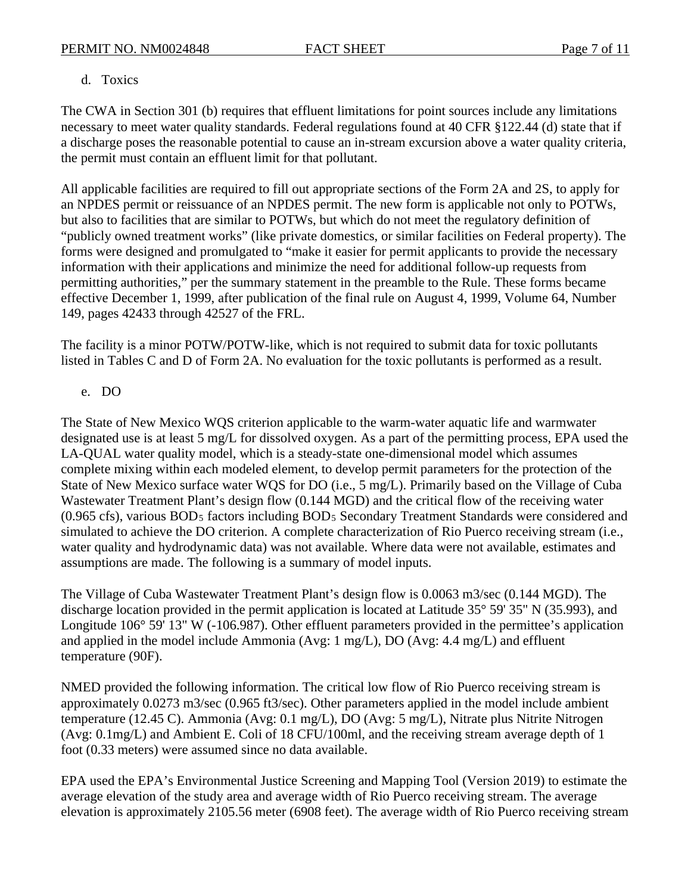## d. Toxics

The CWA in Section 301 (b) requires that effluent limitations for point sources include any limitations necessary to meet water quality standards. Federal regulations found at 40 CFR §122.44 (d) state that if a discharge poses the reasonable potential to cause an in-stream excursion above a water quality criteria, the permit must contain an effluent limit for that pollutant.

All applicable facilities are required to fill out appropriate sections of the Form 2A and 2S, to apply for an NPDES permit or reissuance of an NPDES permit. The new form is applicable not only to POTWs, but also to facilities that are similar to POTWs, but which do not meet the regulatory definition of "publicly owned treatment works" (like private domestics, or similar facilities on Federal property). The forms were designed and promulgated to "make it easier for permit applicants to provide the necessary information with their applications and minimize the need for additional follow-up requests from permitting authorities," per the summary statement in the preamble to the Rule. These forms became effective December 1, 1999, after publication of the final rule on August 4, 1999, Volume 64, Number 149, pages 42433 through 42527 of the FRL.

The facility is a minor POTW/POTW-like, which is not required to submit data for toxic pollutants listed in Tables C and D of Form 2A. No evaluation for the toxic pollutants is performed as a result.

## e. DO

The State of New Mexico WQS criterion applicable to the warm-water aquatic life and warmwater designated use is at least 5 mg/L for dissolved oxygen. As a part of the permitting process, EPA used the LA-QUAL water quality model, which is a steady-state one-dimensional model which assumes complete mixing within each modeled element, to develop permit parameters for the protection of the State of New Mexico surface water WQS for DO (i.e., 5 mg/L). Primarily based on the Village of Cuba Wastewater Treatment Plant's design flow (0.144 MGD) and the critical flow of the receiving water (0.965 cfs), various BOD5 factors including BOD5 Secondary Treatment Standards were considered and simulated to achieve the DO criterion. A complete characterization of Rio Puerco receiving stream (i.e., water quality and hydrodynamic data) was not available. Where data were not available, estimates and assumptions are made. The following is a summary of model inputs.

The Village of Cuba Wastewater Treatment Plant's design flow is 0.0063 m3/sec (0.144 MGD). The discharge location provided in the permit application is located at Latitude 35° 59' 35" N (35.993), and Longitude 106° 59′ 13″ W (-106.987). Other effluent parameters provided in the permittee's application and applied in the model include Ammonia (Avg: 1 mg/L), DO (Avg: 4.4 mg/L) and effluent temperature (90F).

NMED provided the following information. The critical low flow of Rio Puerco receiving stream is approximately 0.0273 m3/sec (0.965 ft3/sec). Other parameters applied in the model include ambient temperature (12.45 C). Ammonia (Avg: 0.1 mg/L), DO (Avg: 5 mg/L), Nitrate plus Nitrite Nitrogen (Avg: 0.1mg/L) and Ambient E. Coli of 18 CFU/100ml, and the receiving stream average depth of 1 foot (0.33 meters) were assumed since no data available.

EPA used the EPA's Environmental Justice Screening and Mapping Tool (Version 2019) to estimate the average elevation of the study area and average width of Rio Puerco receiving stream. The average elevation is approximately 2105.56 meter (6908 feet). The average width of Rio Puerco receiving stream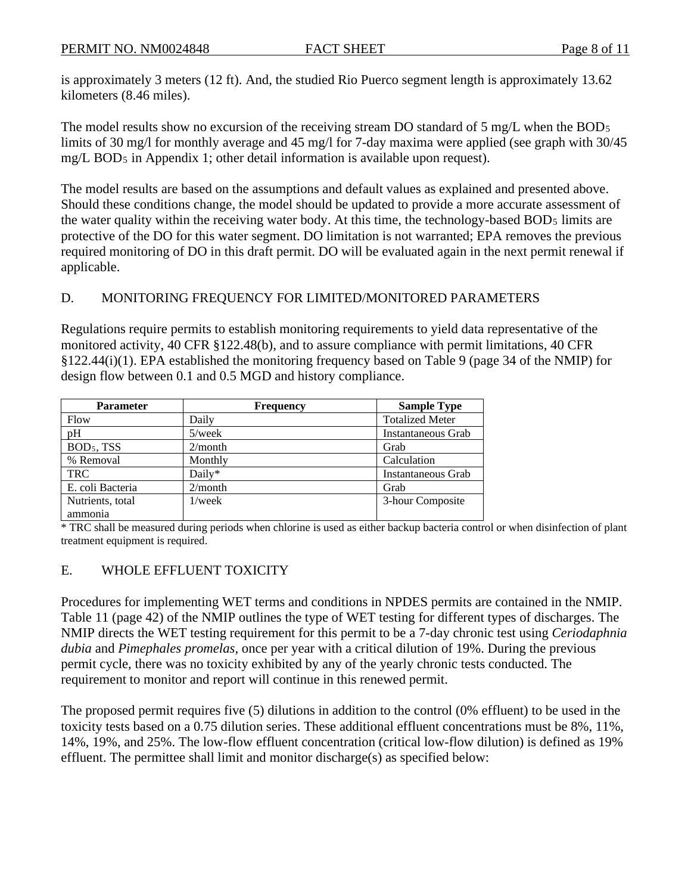is approximately 3 meters (12 ft). And, the studied Rio Puerco segment length is approximately 13.62 kilometers (8.46 miles).

The model results show no excursion of the receiving stream DO standard of 5 mg/L when the BOD<sub>5</sub> limits of 30 mg/l for monthly average and 45 mg/l for 7-day maxima were applied (see graph with 30/45 mg/L BOD5 in Appendix 1; other detail information is available upon request).

The model results are based on the assumptions and default values as explained and presented above. Should these conditions change, the model should be updated to provide a more accurate assessment of the water quality within the receiving water body. At this time, the technology-based BOD<sub>5</sub> limits are protective of the DO for this water segment. DO limitation is not warranted; EPA removes the previous required monitoring of DO in this draft permit. DO will be evaluated again in the next permit renewal if applicable.

## D. MONITORING FREQUENCY FOR LIMITED/MONITORED PARAMETERS

Regulations require permits to establish monitoring requirements to yield data representative of the monitored activity, 40 CFR §122.48(b), and to assure compliance with permit limitations, 40 CFR §122.44(i)(1). EPA established the monitoring frequency based on Table 9 (page 34 of the NMIP) for design flow between 0.1 and 0.5 MGD and history compliance.

| <b>Parameter</b> | <b>Frequency</b> | <b>Sample Type</b>     |
|------------------|------------------|------------------------|
| Flow             | Daily            | <b>Totalized Meter</b> |
| pH               | $5$ /week        | Instantaneous Grab     |
| $BOD5$ , TSS     | 2/month          | Grab                   |
| % Removal        | Monthly          | Calculation            |
| <b>TRC</b>       | Daily*           | Instantaneous Grab     |
| E. coli Bacteria | 2/month          | Grab                   |
| Nutrients, total | $1$ /week        | 3-hour Composite       |
| ammonia          |                  |                        |

\* TRC shall be measured during periods when chlorine is used as either backup bacteria control or when disinfection of plant treatment equipment is required.

## E. WHOLE EFFLUENT TOXICITY

Procedures for implementing WET terms and conditions in NPDES permits are contained in the NMIP. Table 11 (page 42) of the NMIP outlines the type of WET testing for different types of discharges. The NMIP directs the WET testing requirement for this permit to be a 7-day chronic test using *Ceriodaphnia dubia* and *Pimephales promelas,* once per year with a critical dilution of 19%. During the previous permit cycle, there was no toxicity exhibited by any of the yearly chronic tests conducted. The requirement to monitor and report will continue in this renewed permit.

The proposed permit requires five (5) dilutions in addition to the control (0% effluent) to be used in the toxicity tests based on a 0.75 dilution series. These additional effluent concentrations must be 8%, 11%, 14%, 19%, and 25%. The low-flow effluent concentration (critical low-flow dilution) is defined as 19% effluent. The permittee shall limit and monitor discharge(s) as specified below: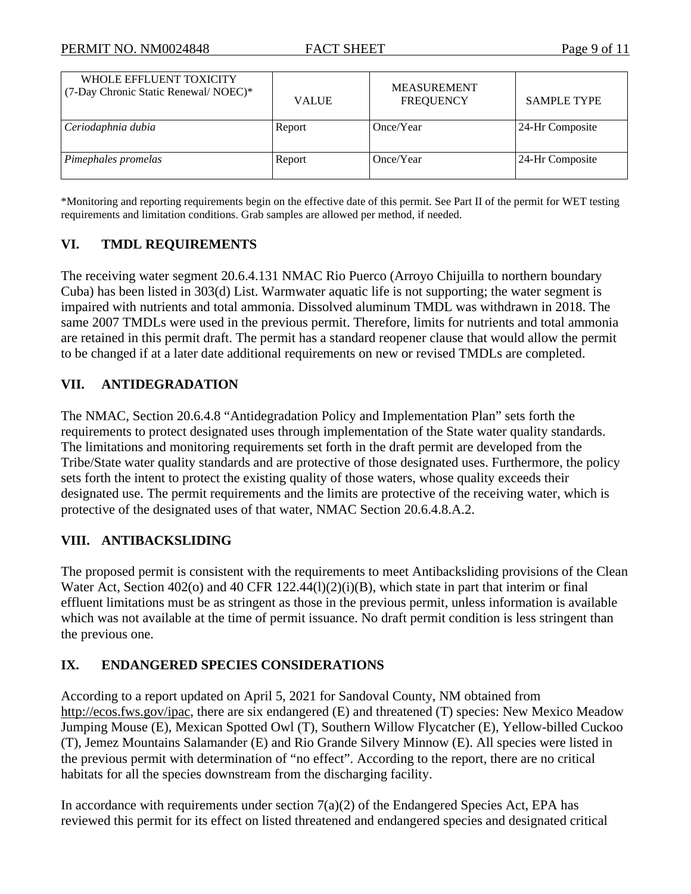| WHOLE EFFLUENT TOXICITY<br>(7-Day Chronic Static Renewal/ NOEC)* | <b>VALUE</b> | <b>MEASUREMENT</b><br><b>FREQUENCY</b> | <b>SAMPLE TYPE</b> |
|------------------------------------------------------------------|--------------|----------------------------------------|--------------------|
| Ceriodaphnia dubia                                               | Report       | Once/Year                              | 24-Hr Composite    |
| Pimephales promelas                                              | Report       | Once/Year                              | 24-Hr Composite    |

\*Monitoring and reporting requirements begin on the effective date of this permit. See Part II of the permit for WET testing requirements and limitation conditions. Grab samples are allowed per method, if needed.

## **VI. TMDL REQUIREMENTS**

The receiving water segment 20.6.4.131 NMAC Rio Puerco (Arroyo Chijuilla to northern boundary Cuba) has been listed in 303(d) List. Warmwater aquatic life is not supporting; the water segment is impaired with nutrients and total ammonia. Dissolved aluminum TMDL was withdrawn in 2018. The same 2007 TMDLs were used in the previous permit. Therefore, limits for nutrients and total ammonia are retained in this permit draft. The permit has a standard reopener clause that would allow the permit to be changed if at a later date additional requirements on new or revised TMDLs are completed.

## **VII. ANTIDEGRADATION**

The NMAC, Section 20.6.4.8 "Antidegradation Policy and Implementation Plan" sets forth the requirements to protect designated uses through implementation of the State water quality standards. The limitations and monitoring requirements set forth in the draft permit are developed from the Tribe/State water quality standards and are protective of those designated uses. Furthermore, the policy sets forth the intent to protect the existing quality of those waters, whose quality exceeds their designated use. The permit requirements and the limits are protective of the receiving water, which is protective of the designated uses of that water, NMAC Section 20.6.4.8.A.2.

## **VIII. ANTIBACKSLIDING**

The proposed permit is consistent with the requirements to meet Antibacksliding provisions of the Clean Water Act, Section 402(o) and 40 CFR 122.44(1)(2)(i)(B), which state in part that interim or final effluent limitations must be as stringent as those in the previous permit, unless information is available which was not available at the time of permit issuance. No draft permit condition is less stringent than the previous one.

## **IX. ENDANGERED SPECIES CONSIDERATIONS**

According to a report updated on April 5, 2021 for Sandoval County, NM obtained from http://ecos.fws.gov/ipac, there are six endangered (E) and threatened (T) species: New Mexico Meadow Jumping Mouse (E), Mexican Spotted Owl (T), Southern Willow Flycatcher (E), Yellow-billed Cuckoo (T), Jemez Mountains Salamander (E) and Rio Grande Silvery Minnow (E). All species were listed in the previous permit with determination of "no effect". According to the report, there are no critical habitats for all the species downstream from the discharging facility.

In accordance with requirements under section  $7(a)(2)$  of the Endangered Species Act, EPA has reviewed this permit for its effect on listed threatened and endangered species and designated critical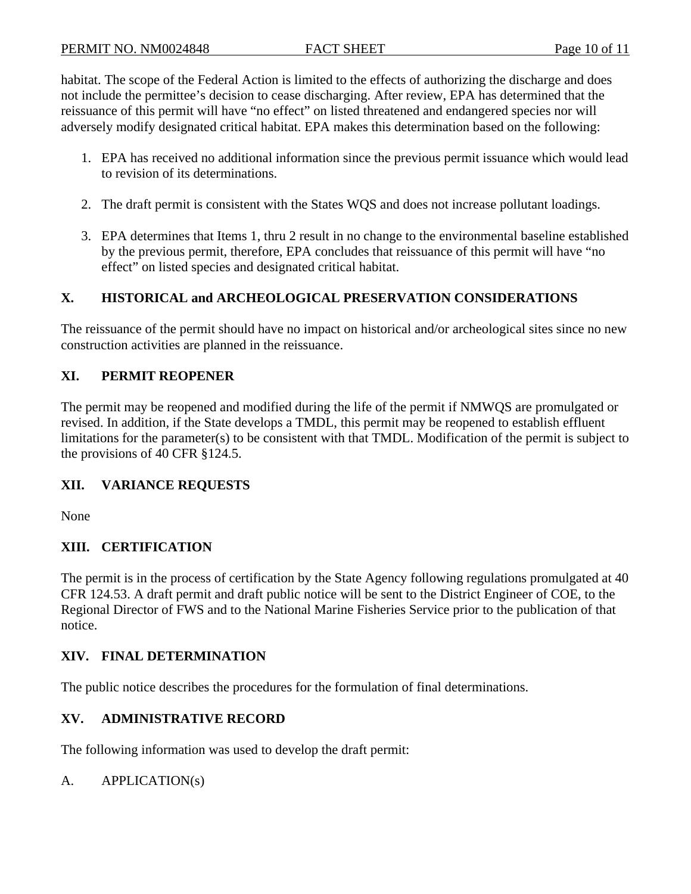habitat. The scope of the Federal Action is limited to the effects of authorizing the discharge and does not include the permittee's decision to cease discharging. After review, EPA has determined that the reissuance of this permit will have "no effect" on listed threatened and endangered species nor will adversely modify designated critical habitat. EPA makes this determination based on the following:

- 1. EPA has received no additional information since the previous permit issuance which would lead to revision of its determinations.
- 2. The draft permit is consistent with the States WQS and does not increase pollutant loadings.
- 3. EPA determines that Items 1, thru 2 result in no change to the environmental baseline established by the previous permit, therefore, EPA concludes that reissuance of this permit will have "no effect" on listed species and designated critical habitat.

## **X. HISTORICAL and ARCHEOLOGICAL PRESERVATION CONSIDERATIONS**

The reissuance of the permit should have no impact on historical and/or archeological sites since no new construction activities are planned in the reissuance.

## **XI. PERMIT REOPENER**

The permit may be reopened and modified during the life of the permit if NMWQS are promulgated or revised. In addition, if the State develops a TMDL, this permit may be reopened to establish effluent limitations for the parameter(s) to be consistent with that TMDL. Modification of the permit is subject to the provisions of 40 CFR §124.5.

## **XII. VARIANCE REQUESTS**

None

## **XIII. CERTIFICATION**

The permit is in the process of certification by the State Agency following regulations promulgated at 40 CFR 124.53. A draft permit and draft public notice will be sent to the District Engineer of COE, to the Regional Director of FWS and to the National Marine Fisheries Service prior to the publication of that notice.

## **XIV. FINAL DETERMINATION**

The public notice describes the procedures for the formulation of final determinations.

## **XV. ADMINISTRATIVE RECORD**

The following information was used to develop the draft permit:

## A. APPLICATION(s)